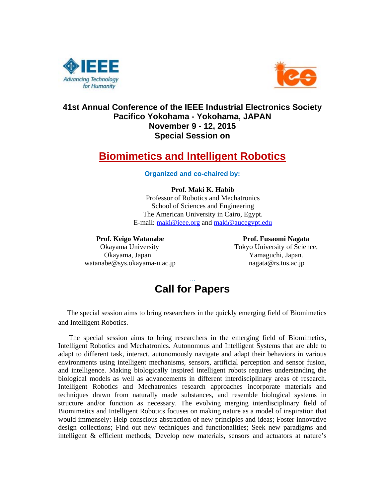



# **41st Annual Conference of the IEEE Industrial Electronics Society Pacifico Yokohama - Yokohama, JAPAN November 9 - 12, 2015 Special Session on**

# **Biomimetics and Intelligent Robotics**

### **Organized and co-chaired by:**

# **Prof. Maki K. Habib**

Professor of Robotics and Mechatronics School of Sciences and Engineering The American University in Cairo, Egypt. E-mail: maki@ieee.org and maki@aucegypt.edu

#### Prof. Keigo Watanabe **Prof. Fusaomi Nagata**

 Okayama, Japan Yamaguchi, Japan. watanabe@sys.okayama-u.ac.jp nagata@rs.tus.ac.jp

Okayama University Tokyo University of Science,



 The special session aims to bring researchers in the quickly emerging field of Biomimetics and Intelligent Robotics.

 The special session aims to bring researchers in the emerging field of Biomimetics, Intelligent Robotics and Mechatronics. Autonomous and Intelligent Systems that are able to adapt to different task, interact, autonomously navigate and adapt their behaviors in various environments using intelligent mechanisms, sensors, artificial perception and sensor fusion, and intelligence. Making biologically inspired intelligent robots requires understanding the biological models as well as advancements in different interdisciplinary areas of research. Intelligent Robotics and Mechatronics research approaches incorporate materials and techniques drawn from naturally made substances, and resemble biological systems in structure and/or function as necessary. The evolving merging interdisciplinary field of Biomimetics and Intelligent Robotics focuses on making nature as a model of inspiration that would immensely: Help conscious abstraction of new principles and ideas; Foster innovative design collections; Find out new techniques and functionalities; Seek new paradigms and intelligent & efficient methods; Develop new materials, sensors and actuators at nature's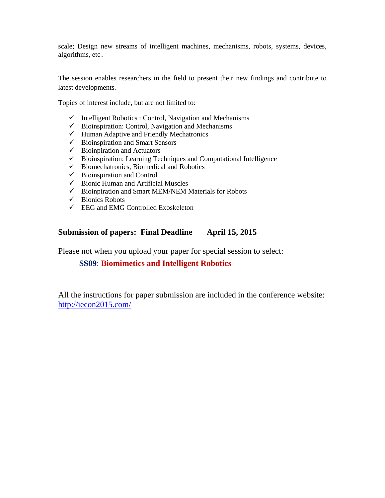scale; Design new streams of intelligent machines, mechanisms, robots, systems, devices, algorithms, etc.

The session enables researchers in the field to present their new findings and contribute to latest developments.

Topics of interest include, but are not limited to:

- $\checkmark$  Intelligent Robotics : Control, Navigation and Mechanisms
- $\checkmark$  Bioinspiration: Control, Navigation and Mechanisms
- $\checkmark$  Human Adaptive and Friendly Mechatronics
- $\checkmark$  Bioinspiration and Smart Sensors
- $\checkmark$  Bioinpiration and Actuators
- $\checkmark$  Bioinspiration: Learning Techniques and Computational Intelligence
- $\checkmark$  Biomechatronics, Biomedical and Robotics
- $\checkmark$  Bioinspiration and Control
- $\checkmark$  Bionic Human and Artificial Muscles
- $\checkmark$  Bioinpiration and Smart MEM/NEM Materials for Robots
- $\checkmark$  Bionics Robots
- $\checkmark$  EEG and EMG Controlled Exoskeleton

# **Submission of papers: Final Deadline April 15, 2015**

Please not when you upload your paper for special session to select:

**SS09**: **Biomimetics and Intelligent Robotics**

All the instructions for paper submission are included in the conference website: http://iecon2015.com/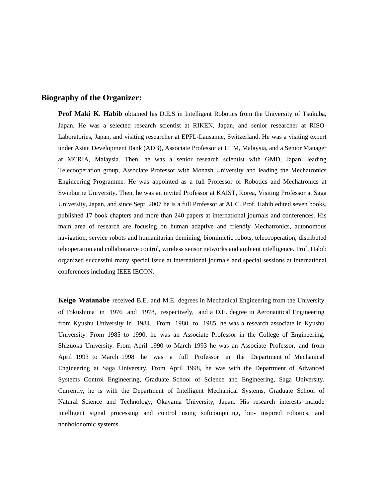### **Biography of the Organizer:**

**Prof Maki K. Habib** obtained his D.E.S in Intelligent Robotics from the University of Tsukuba, Japan. He was a selected research scientist at RIKEN, Japan, and senior researcher at RISO-Laboratories, Japan, and visiting researcher at EPFL-Lausanne, Switzerland. He was a visiting expert under Asian Development Bank (ADB), Associate Professor at UTM, Malaysia, and a Senior Manager at MCRIA, Malaysia. Then, he was a senior research scientist with GMD, Japan, leading Telecooperation group, Associate Professor with Monash University and leading the Mechatronics Engineering Programme. He was appointed as a full Professor of Robotics and Mechatronics at Swinburne University. Then, he was an invited Professor at KAIST, Korea, Visiting Professor at Saga University, Japan, and since Sept. 2007 he is a full Professor at AUC. Prof. Habib edited seven books, published 17 book chapters and more than 240 papers at international journals and conferences. His main area of research are focusing on human adaptive and friendly Mechatronics, autonomous navigation, service robots and humanitarian demining, biomimetic robots, telecooperation, distributed teleoperation and collaborative control, wireless sensor networks and ambient intelligence. Prof. Habib organized successful many special issue at international journals and special sessions at international conferences including IEEE IECON.

**Keigo Watanabe** received B.E. and M.E. degrees in Mechanical Engineering from the University of Tokushima in 1976 and 1978, respectively, and a D.E. degree in Aeronautical Engineering from Kyushu University in 1984. From 1980 to 1985, he was a research associate in Kyushu University. From 1985 to 1990, he was an Associate Professor in the College of Engineering, Shizuoka University. From April 1990 to March 1993 he was an Associate Professor, and from April 1993 to March 1998 he was a full Professor in the Department of Mechanical Engineering at Saga University. From April 1998, he was with the Department of Advanced Systems Control Engineering, Graduate School of Science and Engineering, Saga University. Currently, he is with the Department of Intelligent Mechanical Systems, Graduate School of Natural Science and Technology, Okayama University, Japan. His research interests include intelligent signal processing and control using softcomputing, bio- inspired robotics, and nonholonomic systems.